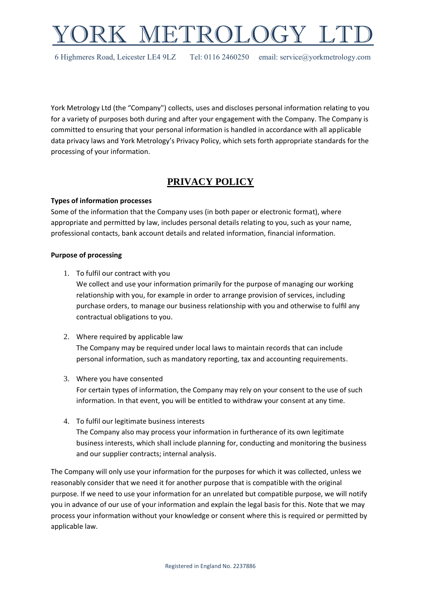# IETROLOG

6 Highmeres Road, Leicester LE4 9LZ Tel: 0116 2460250 email: service@yorkmetrology.com

York Metrology Ltd (the "Company") collects, uses and discloses personal information relating to you for a variety of purposes both during and after your engagement with the Company. The Company is committed to ensuring that your personal information is handled in accordance with all applicable data privacy laws and York Metrology's Privacy Policy, which sets forth appropriate standards for the processing of your information.

# **PRIVACY POLICY**

## **Types of information processes**

Some of the information that the Company uses (in both paper or electronic format), where appropriate and permitted by law, includes personal details relating to you, such as your name, professional contacts, bank account details and related information, financial information.

## **Purpose of processing**

1. To fulfil our contract with you

We collect and use your information primarily for the purpose of managing our working relationship with you, for example in order to arrange provision of services, including purchase orders, to manage our business relationship with you and otherwise to fulfil any contractual obligations to you.

- 2. Where required by applicable law The Company may be required under local laws to maintain records that can include personal information, such as mandatory reporting, tax and accounting requirements.
- 3. Where you have consented For certain types of information, the Company may rely on your consent to the use of such information. In that event, you will be entitled to withdraw your consent at any time.
- 4. To fulfil our legitimate business interests The Company also may process your information in furtherance of its own legitimate business interests, which shall include planning for, conducting and monitoring the business and our supplier contracts; internal analysis.

The Company will only use your information for the purposes for which it was collected, unless we reasonably consider that we need it for another purpose that is compatible with the original purpose. If we need to use your information for an unrelated but compatible purpose, we will notify you in advance of our use of your information and explain the legal basis for this. Note that we may process your information without your knowledge or consent where this is required or permitted by applicable law.